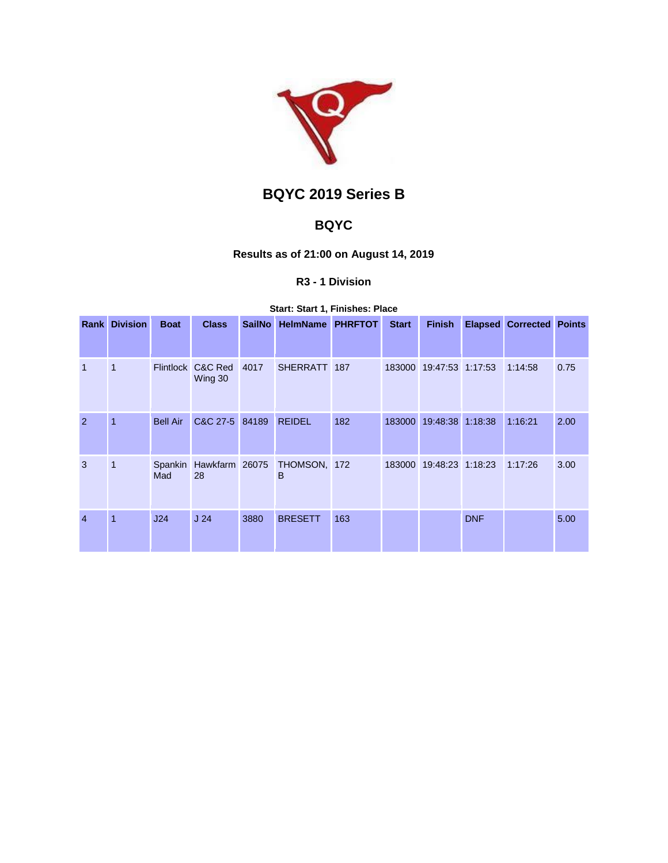

# **BQYC 2019 Series B**

## **BQYC**

## **Results as of 21:00 on August 14, 2019**

## **R3 - 1 Division**

### **Start: Start 1, Finishes: Place**

|                | <b>Rank Division</b> | <b>Boat</b>     | <b>Class</b>                 | <b>SailNo</b> | <b>HelmName PHRFTOT</b> |     | <b>Start</b> | <b>Finish</b>           |            | <b>Elapsed Corrected Points</b> |      |
|----------------|----------------------|-----------------|------------------------------|---------------|-------------------------|-----|--------------|-------------------------|------------|---------------------------------|------|
|                |                      |                 |                              |               |                         |     |              |                         |            |                                 |      |
| $\mathbf{1}$   | 1                    |                 | Flintlock C&C Red<br>Wing 30 | 4017          | SHERRATT 187            |     |              | 183000 19:47:53 1:17:53 |            | 1:14:58                         | 0.75 |
| $\mathcal{P}$  | $\overline{1}$       | <b>Bell Air</b> | C&C 27-5 84189               |               | <b>REIDEL</b>           | 182 |              | 183000 19:48:38 1:18:38 |            | 1:16:21                         | 2.00 |
| 3              | $\overline{1}$       | Spankin<br>Mad  | Hawkfarm 26075<br>28         |               | THOMSON, 172<br>в       |     |              | 183000 19:48:23 1:18:23 |            | 1:17:26                         | 3.00 |
| $\overline{4}$ | $\overline{1}$       | J24             | J <sub>24</sub>              | 3880          | <b>BRESETT</b>          | 163 |              |                         | <b>DNF</b> |                                 | 5.00 |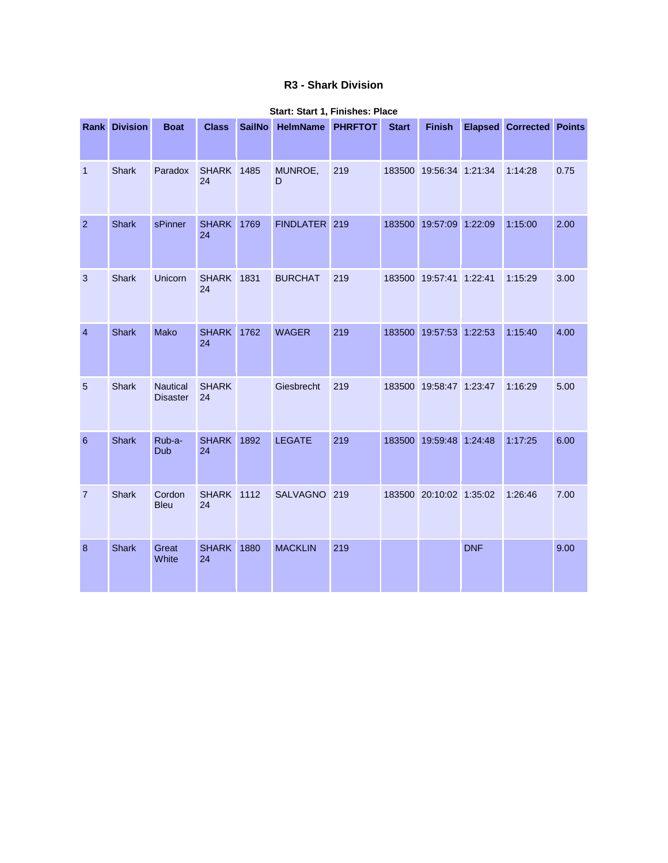## **R3 - Shark Division**

|                | <b>Rank Division</b> | <b>Boat</b>                        | <b>Class</b>            | <b>SailNo</b> | HelmName PHRFTOT |     | <b>Start</b> | <b>Finish</b>           |            | <b>Elapsed Corrected Points</b> |      |
|----------------|----------------------|------------------------------------|-------------------------|---------------|------------------|-----|--------------|-------------------------|------------|---------------------------------|------|
| $\mathbf 1$    | <b>Shark</b>         | Paradox                            | <b>SHARK</b> 1485<br>24 |               | MUNROE,<br>D     | 219 |              | 183500 19:56:34 1:21:34 |            | 1:14:28                         | 0.75 |
| $\overline{2}$ | <b>Shark</b>         | sPinner                            | <b>SHARK</b><br>24      | 1769          | FINDLATER 219    |     |              | 183500 19:57:09 1:22:09 |            | 1:15:00                         | 2.00 |
| $\mathbf{3}$   | <b>Shark</b>         | Unicorn                            | <b>SHARK</b> 1831<br>24 |               | <b>BURCHAT</b>   | 219 |              | 183500 19:57:41 1:22:41 |            | 1:15:29                         | 3.00 |
| $\overline{4}$ | <b>Shark</b>         | Mako                               | <b>SHARK</b><br>24      | 1762          | <b>WAGER</b>     | 219 |              | 183500 19:57:53 1:22:53 |            | 1:15:40                         | 4.00 |
| 5              | Shark                | <b>Nautical</b><br><b>Disaster</b> | <b>SHARK</b><br>24      |               | Giesbrecht       | 219 |              | 183500 19:58:47 1:23:47 |            | 1:16:29                         | 5.00 |
| 6              | <b>Shark</b>         | Rub-a-<br>Dub                      | <b>SHARK</b><br>24      | 1892          | <b>LEGATE</b>    | 219 |              | 183500 19:59:48 1:24:48 |            | 1:17:25                         | 6.00 |
| $\overline{7}$ | <b>Shark</b>         | Cordon<br><b>Bleu</b>              | <b>SHARK</b> 1112<br>24 |               | <b>SALVAGNO</b>  | 219 |              | 183500 20:10:02 1:35:02 |            | 1:26:46                         | 7.00 |
| 8              | <b>Shark</b>         | Great<br>White                     | <b>SHARK</b><br>24      | 1880          | <b>MACKLIN</b>   | 219 |              |                         | <b>DNF</b> |                                 | 9.00 |

#### **Start: Start 1, Finishes: Place**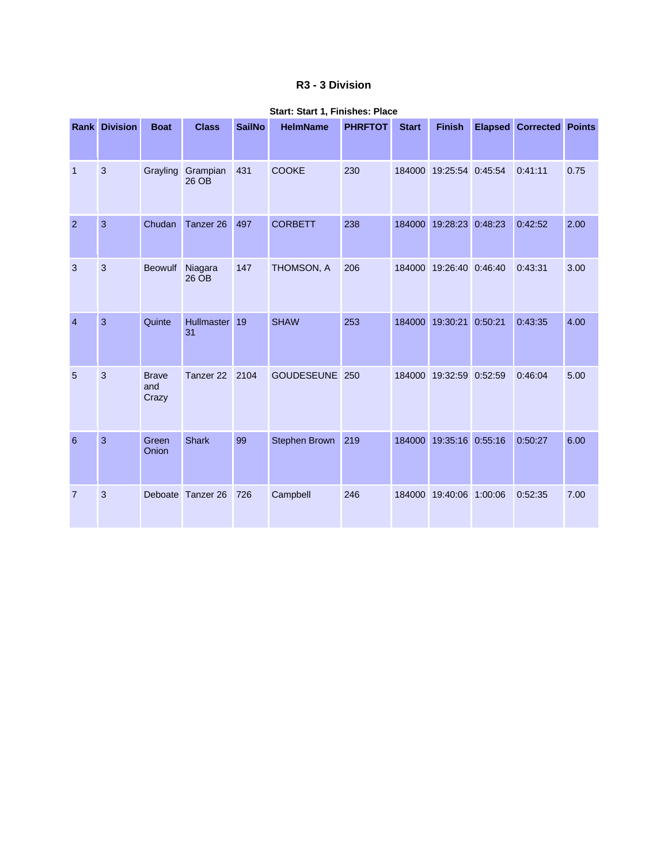## **R3 - 3 Division**

|                | <b>Rank Division</b> | <b>Boat</b>                  | <b>Class</b>               | <b>SailNo</b> | <b>HelmName</b> | <b>PHRFTOT</b> | <b>Start</b> | <b>Finish</b>           |         | <b>Elapsed Corrected Points</b> |      |
|----------------|----------------------|------------------------------|----------------------------|---------------|-----------------|----------------|--------------|-------------------------|---------|---------------------------------|------|
| $\mathbf{1}$   | $\mathbf{3}$         |                              | Grayling Grampian<br>26 OB | 431           | <b>COOKE</b>    | 230            |              | 184000 19:25:54 0:45:54 |         | 0:41:11                         | 0.75 |
| $\overline{2}$ | 3                    | Chudan                       | Tanzer 26                  | 497           | <b>CORBETT</b>  | 238            |              | 184000 19:28:23 0:48:23 |         | 0:42:52                         | 2.00 |
| 3              | $\mathbf{3}$         | Beowulf                      | Niagara<br>26 OB           | 147           | THOMSON, A      | 206            |              | 184000 19:26:40 0:46:40 |         | 0:43:31                         | 3.00 |
| $\overline{4}$ | 3                    | Quinte                       | <b>Hullmaster</b><br>31    | 19            | <b>SHAW</b>     | 253            | 184000       | 19:30:21                | 0:50:21 | 0:43:35                         | 4.00 |
| 5              | 3                    | <b>Brave</b><br>and<br>Crazy | Tanzer <sub>22</sub>       | 2104          | GOUDESEUNE 250  |                | 184000       | 19:32:59 0:52:59        |         | 0:46:04                         | 5.00 |
| 6              | 3                    | Green<br>Onion               | <b>Shark</b>               | 99            | Stephen Brown   | 219            | 184000       | 19:35:16 0:55:16        |         | 0:50:27                         | 6.00 |
| $\overline{7}$ | 3                    |                              | Deboate Tanzer 26          | 726           | Campbell        | 246            | 184000       | 19:40:06 1:00:06        |         | 0:52:35                         | 7.00 |

#### **Start: Start 1, Finishes: Place**